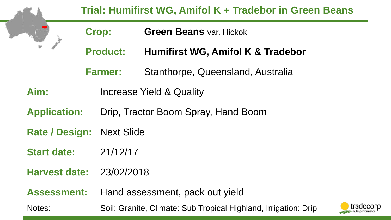|                                  | Trial: Humifirst WG, Amifol K + Tradebor in Green Beans |                                                                              |                                                                                |  |  |  |  |
|----------------------------------|---------------------------------------------------------|------------------------------------------------------------------------------|--------------------------------------------------------------------------------|--|--|--|--|
|                                  | <b>Crop:</b><br><b>Product:</b>                         |                                                                              | <b>Green Beans var. Hickok</b><br><b>Humifirst WG, Amifol K &amp; Tradebor</b> |  |  |  |  |
|                                  |                                                         |                                                                              |                                                                                |  |  |  |  |
|                                  |                                                         | <b>Farmer:</b>                                                               | Stanthorpe, Queensland, Australia                                              |  |  |  |  |
| Aim:                             |                                                         | Increase Yield & Quality                                                     |                                                                                |  |  |  |  |
| <b>Application:</b>              |                                                         | Drip, Tractor Boom Spray, Hand Boom                                          |                                                                                |  |  |  |  |
| <b>Rate / Design: Next Slide</b> |                                                         |                                                                              |                                                                                |  |  |  |  |
| <b>Start date:</b>               |                                                         | 21/12/17                                                                     |                                                                                |  |  |  |  |
| <b>Harvest date:</b>             |                                                         | 23/02/2018                                                                   |                                                                                |  |  |  |  |
| <b>Assessment:</b>               |                                                         | Hand assessment, pack out yield                                              |                                                                                |  |  |  |  |
| Notes:                           |                                                         | tradecorp<br>Soil: Granite, Climate: Sub Tropical Highland, Irrigation: Drip |                                                                                |  |  |  |  |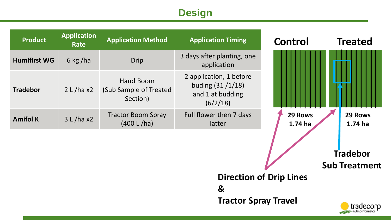# **Design**

| <b>Product</b>      | <b>Application</b><br>Rate     | <b>Application Method</b>                       | <b>Application Timing</b>                                                    | <b>Control</b>     | <b>Treated</b>                          |  |  |
|---------------------|--------------------------------|-------------------------------------------------|------------------------------------------------------------------------------|--------------------|-----------------------------------------|--|--|
| <b>Humifirst WG</b> | 6 kg/ha                        | <b>Drip</b>                                     | 3 days after planting, one<br>application                                    |                    |                                         |  |  |
| <b>Tradebor</b>     | 2 L / ha x2                    | Hand Boom<br>(Sub Sample of Treated<br>Section) | 2 application, 1 before<br>buding (31 /1/18)<br>and 1 at budding<br>(6/2/18) |                    |                                         |  |  |
| <b>Amifol K</b>     | 3 L / ha x2                    | <b>Tractor Boom Spray</b><br>(400 L/ha)         | Full flower then 7 days<br>latter                                            | 29 Rows<br>1.74 ha | 29 Rows<br>1.74 ha                      |  |  |
|                     |                                |                                                 |                                                                              |                    | <b>Tradebor</b><br><b>Sub Treatment</b> |  |  |
|                     | <b>Direction of Drip Lines</b> |                                                 |                                                                              |                    |                                         |  |  |
|                     |                                |                                                 | $\mathbf{g}$                                                                 |                    |                                         |  |  |
|                     | <b>Tractor Spray Travel</b>    |                                                 |                                                                              |                    |                                         |  |  |

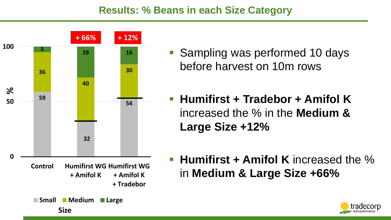### **Results: % Beans in each Size Category**



- Sampling was performed 10 days before harvest on 10m rows
- **Humifirst + Tradebor + Amifol K**  increased the % in the **Medium & Large Size +12%**
- **Humifirst + Amifol K** increased the % in **Medium & Large Size +66%**

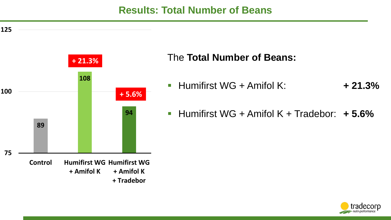#### **Results: Total Number of Beans**





#### The **Total Number of Beans:**

- Humifirst WG + Amifol K: **+ 21.3%**
- Humifirst WG + Amifol K + Tradebor: **+ 5.6%**

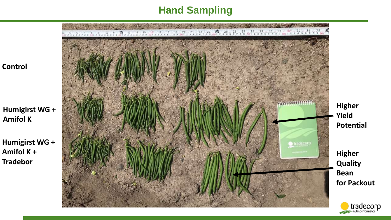## **Hand Sampling**

**Control**

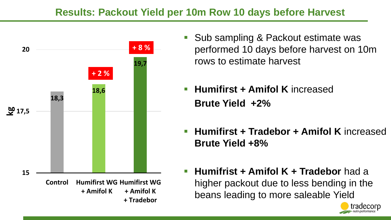### **Results: Packout Yield per 10m Row 10 days before Harvest**



- Sub sampling & Packout estimate was performed 10 days before harvest on 10m rows to estimate harvest
- **Humifirst + Amifol K** increased **Brute Yield +2%**
- **Humifirst + Tradebor + Amifol K** increased **Brute Yield +8%**
- **Humifrist + Amifol K + Tradebor** had a higher packout due to less bending in the beans leading to more saleable Yield

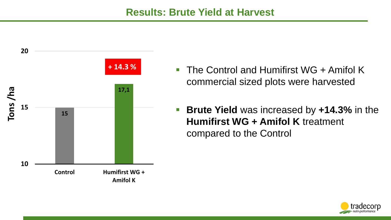

- The Control and Humifirst WG + Amifol K commercial sized plots were harvested
- **Brute Yield** was increased by **+14.3%** in the **Humifirst WG + Amifol K** treatment compared to the Control

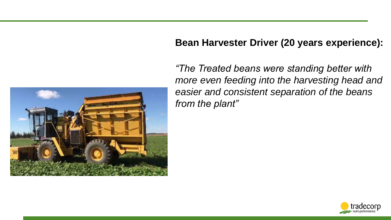#### **Bean Harvester Driver (20 years experience):**



*"The Treated beans were standing better with more even feeding into the harvesting head and easier and consistent separation of the beans from the plant"*

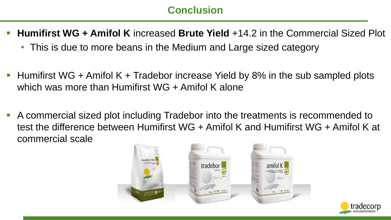## **Conclusion**

- **Humifirst WG + Amifol K** increased **Brute Yield** +14.2 in the Commercial Sized Plot
	- This is due to more beans in the Medium and Large sized category
- Humifirst WG + Amifol K + Tradebor increase Yield by 8% in the sub sampled plots which was more than Humifirst WG + Amifol K alone
- A commercial sized plot including Tradebor into the treatments is recommended to test the difference between Humifirst WG + Amifol K and Humifirst WG + Amifol K at commercial scale